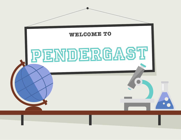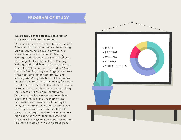### **PROGRAM OF STUDY**

#### **We are proud of the rigorous program of study we provide for our students.**

Our students work to master the Arizona K-12 Academic Standards to prepare them for high school, career, college, and beyond. Our students receive instruction in Reading, Writing, Math, Science, and Social Studies as core subjects. They are tested in Reading, Writing, Math, and Science. Our teachers use Houghton Mifflin-Journeys in grades K-5 as the core Reading program. Engage New York is the core program for 6th-8th ELA and Kindergarten-8th grade Math. All resources are available, free of charge, online, for you to use at home for support. Our students receive instruction that requires them to move along the "Depth of Knowledge" continuum. Students move from answering lower level questions that may require them to find information and re-state it, all the way to analyzing information in order to apply new learning to a project or product they will design. Pendergast teachers have extremely high expectations for their students, and students will always receive adequate support in order to keep up with our rigorous pace.

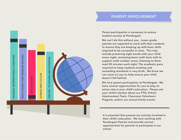### **PARENT INVOLVEMENT**



**We can't do this without you. Lower grade parents are expected to work with their students to ensure they are keeping up with basic skills required to be successful in class. This may include practicing sight words with your child every night, reviewing basic math facts with to support math number sense, listening to them read 20 minutes each night, The academic pace required to keep students meeting and exceeding standards is very brisk. We know we can count on you to help ensure your child doesn't fall behind.** 

**We love parent participation at Pendergast. We have several opportunities for you to play an active role in your child's education. Please ask your child's teacher about our PTO, School Improvement Team, Classroom Volunteers Program, and/or our annual family events.**

**It is essential that parents are actively involved in their child's education. We love working with Pendergast Parents and provide various opportunities for parents to participate in our school.**

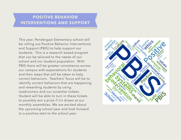# **POSITIVE BEHAVIOR INTERVENTIONS AND SUPPORT**

This year, Pendergast Elementary school will be rolling out Positive Behavior Interventions and Support (PBIS) to help support our students. This is a research based program that can be tailored to the needs of our school and our student population. With PBIS there will be greater consistence across our campus with expectations for students and then steps that will be taken to help correct behaviors. Teachers' focus will be to identify correct behaviors that are happening and rewarding students by using roadrunners and our scratcher tickets. Student will be able to turn in these tickets to possibly win a prize if it's drawn at our monthly assemblies. We are excited about the upcoming school year and look forward to a positive start to the school year.

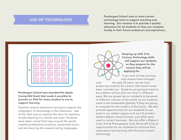## **USE OF TECHNOLOGY**

**Pendergast School uses to most current technology tools to support teaching and learning. Our mission is to provide a quality education for all students so they can compete locally in their future endeavors and aspirations.**



**Pendergast School was awarded the Apple ConnectEd Grant that made it possible to provide an iPad for every student to use to support learning** 

Teachers receive extensive training to support the integration of technology in the classroom. Use of the iPad truly as opened the door for teachers to take learning to a whole new level. Students have taken virtual field trips around the world, created professional products, composed music, and are learning the newest coding languages.



**Keeping up with 21st Century Technology skills will support our students as they prepare for the careers they will be applying for.** 

If you look at how business and careers have changed

over the past 20 years, we are truly preparing students for careers that haven't even been invented yet. Students are going to have to be problem-solvers that can think in different ways. We are preparing our students to be aware of different cultures of the world, as our students need to be marketable globally if they are going to compete for the careers of the future. We also provide opportunities for our students to use tools in our maker's space such as 3-D printers, Sphero Robots, Aerial Drones, and other tools used in current business. We also offer a Maker's Club, Arts & Photography Club, Minecraft Club as opportunities for our students to continue their exploration and learning with the most current technology.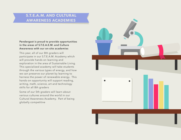## **S.T.E.A.M. AND CULTURAL AWARENESS ACADEMIES**

#### **Pendergast is proud to provide opportunities in the areas of S.T.E.A.E.M. and Culture Awareness with our on-site academies**

This year, all of our 8th graders will participate in our S.T.E.A.M. Academy which will provide hands on learning and exploration in the area of Sustainable Living. This specialized academy will take students through the various types of energy, and how we can preserve our planet by learning to harness the power of renewable energy. This hands-on opportunity will support reading, writing, math, science, art and technology skills for all 8th graders

Some of our 5th graders will learn about various cultures around the world in our Cultural Awareness Academy. Part of being globally competitive